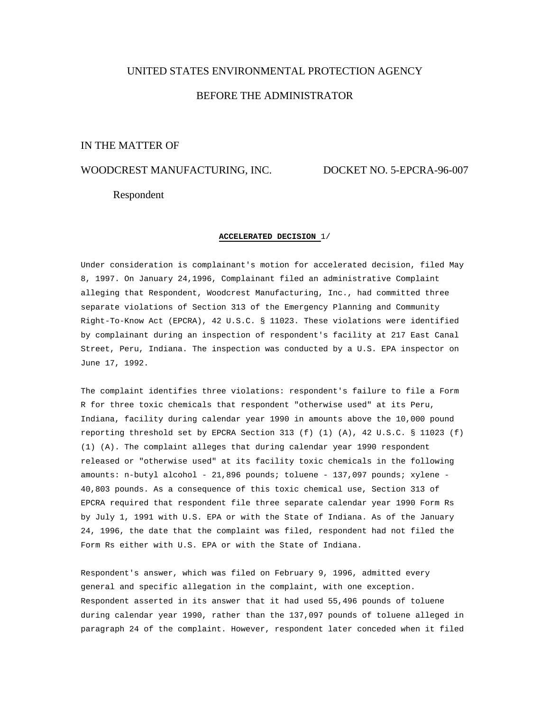# UNITED STATES ENVIRONMENTAL PROTECTION AGENCY BEFORE THE ADMINISTRATOR

# IN THE MATTER OF

# WOODCREST MANUFACTURING, INC. DOCKET NO. 5-EPCRA-96-007

## Respondent

#### **ACCELERATED DECISION** 1/

Under consideration is complainant's motion for accelerated decision, filed May 8, 1997. On January 24,1996, Complainant filed an administrative Complaint alleging that Respondent, Woodcrest Manufacturing, Inc., had committed three separate violations of Section 313 of the Emergency Planning and Community Right-To-Know Act (EPCRA), 42 U.S.C. § 11023. These violations were identified by complainant during an inspection of respondent's facility at 217 East Canal Street, Peru, Indiana. The inspection was conducted by a U.S. EPA inspector on June 17, 1992.

The complaint identifies three violations: respondent's failure to file a Form R for three toxic chemicals that respondent "otherwise used" at its Peru, Indiana, facility during calendar year 1990 in amounts above the 10,000 pound reporting threshold set by EPCRA Section 313 (f) (1) (A), 42 U.S.C. § 11023 (f) (1) (A). The complaint alleges that during calendar year 1990 respondent released or "otherwise used" at its facility toxic chemicals in the following amounts: n-butyl alcohol - 21,896 pounds; toluene - 137,097 pounds; xylene - 40,803 pounds. As a consequence of this toxic chemical use, Section 313 of EPCRA required that respondent file three separate calendar year 1990 Form Rs by July 1, 1991 with U.S. EPA or with the State of Indiana. As of the January 24, 1996, the date that the complaint was filed, respondent had not filed the Form Rs either with U.S. EPA or with the State of Indiana.

Respondent's answer, which was filed on February 9, 1996, admitted every general and specific allegation in the complaint, with one exception. Respondent asserted in its answer that it had used 55,496 pounds of toluene during calendar year 1990, rather than the 137,097 pounds of toluene alleged in paragraph 24 of the complaint. However, respondent later conceded when it filed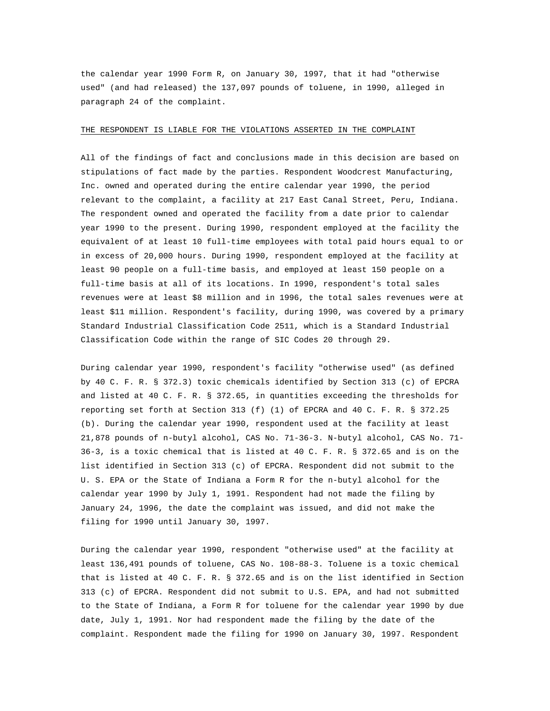the calendar year 1990 Form R, on January 30, 1997, that it had "otherwise used" (and had released) the 137,097 pounds of toluene, in 1990, alleged in paragraph 24 of the complaint.

#### THE RESPONDENT IS LIABLE FOR THE VIOLATIONS ASSERTED IN THE COMPLAINT

All of the findings of fact and conclusions made in this decision are based on stipulations of fact made by the parties. Respondent Woodcrest Manufacturing, Inc. owned and operated during the entire calendar year 1990, the period relevant to the complaint, a facility at 217 East Canal Street, Peru, Indiana. The respondent owned and operated the facility from a date prior to calendar year 1990 to the present. During 1990, respondent employed at the facility the equivalent of at least 10 full-time employees with total paid hours equal to or in excess of 20,000 hours. During 1990, respondent employed at the facility at least 90 people on a full-time basis, and employed at least 150 people on a full-time basis at all of its locations. In 1990, respondent's total sales revenues were at least \$8 million and in 1996, the total sales revenues were at least \$11 million. Respondent's facility, during 1990, was covered by a primary Standard Industrial Classification Code 2511, which is a Standard Industrial Classification Code within the range of SIC Codes 20 through 29.

During calendar year 1990, respondent's facility "otherwise used" (as defined by 40 C. F. R. § 372.3) toxic chemicals identified by Section 313 (c) of EPCRA and listed at 40 C. F. R. § 372.65, in quantities exceeding the thresholds for reporting set forth at Section 313 (f) (1) of EPCRA and 40 C. F. R. § 372.25 (b). During the calendar year 1990, respondent used at the facility at least 21,878 pounds of n-butyl alcohol, CAS No. 71-36-3. N-butyl alcohol, CAS No. 71- 36-3, is a toxic chemical that is listed at 40 C. F. R. § 372.65 and is on the list identified in Section 313 (c) of EPCRA. Respondent did not submit to the U. S. EPA or the State of Indiana a Form R for the n-butyl alcohol for the calendar year 1990 by July 1, 1991. Respondent had not made the filing by January 24, 1996, the date the complaint was issued, and did not make the filing for 1990 until January 30, 1997.

During the calendar year 1990, respondent "otherwise used" at the facility at least 136,491 pounds of toluene, CAS No. 108-88-3. Toluene is a toxic chemical that is listed at 40 C. F. R. § 372.65 and is on the list identified in Section 313 (c) of EPCRA. Respondent did not submit to U.S. EPA, and had not submitted to the State of Indiana, a Form R for toluene for the calendar year 1990 by due date, July 1, 1991. Nor had respondent made the filing by the date of the complaint. Respondent made the filing for 1990 on January 30, 1997. Respondent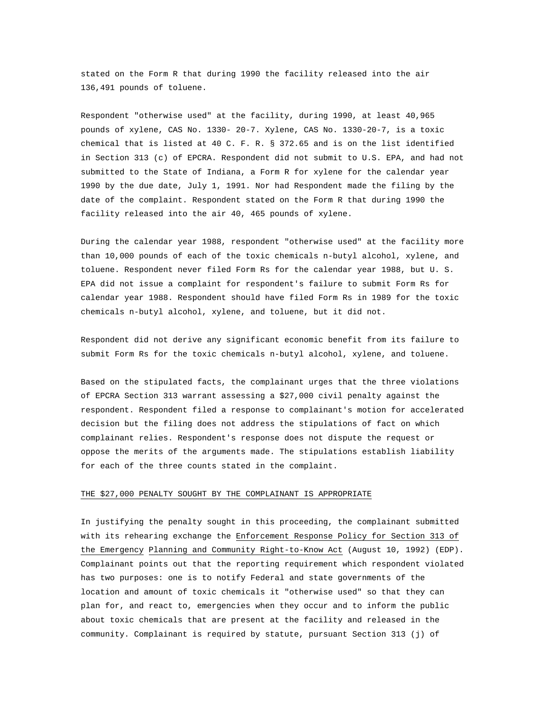stated on the Form R that during 1990 the facility released into the air 136,491 pounds of toluene.

Respondent "otherwise used" at the facility, during 1990, at least 40,965 pounds of xylene, CAS No. 1330- 20-7. Xylene, CAS No. 1330-20-7, is a toxic chemical that is listed at 40 C. F. R. § 372.65 and is on the list identified in Section 313 (c) of EPCRA. Respondent did not submit to U.S. EPA, and had not submitted to the State of Indiana, a Form R for xylene for the calendar year 1990 by the due date, July 1, 1991. Nor had Respondent made the filing by the date of the complaint. Respondent stated on the Form R that during 1990 the facility released into the air 40, 465 pounds of xylene.

During the calendar year 1988, respondent "otherwise used" at the facility more than 10,000 pounds of each of the toxic chemicals n-butyl alcohol, xylene, and toluene. Respondent never filed Form Rs for the calendar year 1988, but U. S. EPA did not issue a complaint for respondent's failure to submit Form Rs for calendar year 1988. Respondent should have filed Form Rs in 1989 for the toxic chemicals n-butyl alcohol, xylene, and toluene, but it did not.

Respondent did not derive any significant economic benefit from its failure to submit Form Rs for the toxic chemicals n-butyl alcohol, xylene, and toluene.

Based on the stipulated facts, the complainant urges that the three violations of EPCRA Section 313 warrant assessing a \$27,000 civil penalty against the respondent. Respondent filed a response to complainant's motion for accelerated decision but the filing does not address the stipulations of fact on which complainant relies. Respondent's response does not dispute the request or oppose the merits of the arguments made. The stipulations establish liability for each of the three counts stated in the complaint.

### THE \$27,000 PENALTY SOUGHT BY THE COMPLAINANT IS APPROPRIATE

In justifying the penalty sought in this proceeding, the complainant submitted with its rehearing exchange the Enforcement Response Policy for Section 313 of the Emergency Planning and Community Right-to-Know Act (August 10, 1992) (EDP). Complainant points out that the reporting requirement which respondent violated has two purposes: one is to notify Federal and state governments of the location and amount of toxic chemicals it "otherwise used" so that they can plan for, and react to, emergencies when they occur and to inform the public about toxic chemicals that are present at the facility and released in the community. Complainant is required by statute, pursuant Section 313 (j) of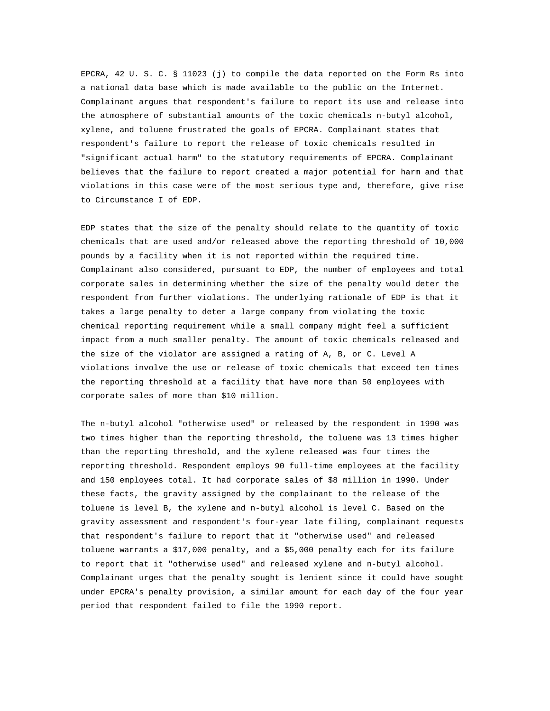EPCRA, 42 U. S. C. § 11023 (j) to compile the data reported on the Form Rs into a national data base which is made available to the public on the Internet. Complainant argues that respondent's failure to report its use and release into the atmosphere of substantial amounts of the toxic chemicals n-butyl alcohol, xylene, and toluene frustrated the goals of EPCRA. Complainant states that respondent's failure to report the release of toxic chemicals resulted in "significant actual harm" to the statutory requirements of EPCRA. Complainant believes that the failure to report created a major potential for harm and that violations in this case were of the most serious type and, therefore, give rise to Circumstance I of EDP.

EDP states that the size of the penalty should relate to the quantity of toxic chemicals that are used and/or released above the reporting threshold of 10,000 pounds by a facility when it is not reported within the required time. Complainant also considered, pursuant to EDP, the number of employees and total corporate sales in determining whether the size of the penalty would deter the respondent from further violations. The underlying rationale of EDP is that it takes a large penalty to deter a large company from violating the toxic chemical reporting requirement while a small company might feel a sufficient impact from a much smaller penalty. The amount of toxic chemicals released and the size of the violator are assigned a rating of A, B, or C. Level A violations involve the use or release of toxic chemicals that exceed ten times the reporting threshold at a facility that have more than 50 employees with corporate sales of more than \$10 million.

The n-butyl alcohol "otherwise used" or released by the respondent in 1990 was two times higher than the reporting threshold, the toluene was 13 times higher than the reporting threshold, and the xylene released was four times the reporting threshold. Respondent employs 90 full-time employees at the facility and 150 employees total. It had corporate sales of \$8 million in 1990. Under these facts, the gravity assigned by the complainant to the release of the toluene is level B, the xylene and n-butyl alcohol is level C. Based on the gravity assessment and respondent's four-year late filing, complainant requests that respondent's failure to report that it "otherwise used" and released toluene warrants a \$17,000 penalty, and a \$5,000 penalty each for its failure to report that it "otherwise used" and released xylene and n-butyl alcohol. Complainant urges that the penalty sought is lenient since it could have sought under EPCRA's penalty provision, a similar amount for each day of the four year period that respondent failed to file the 1990 report.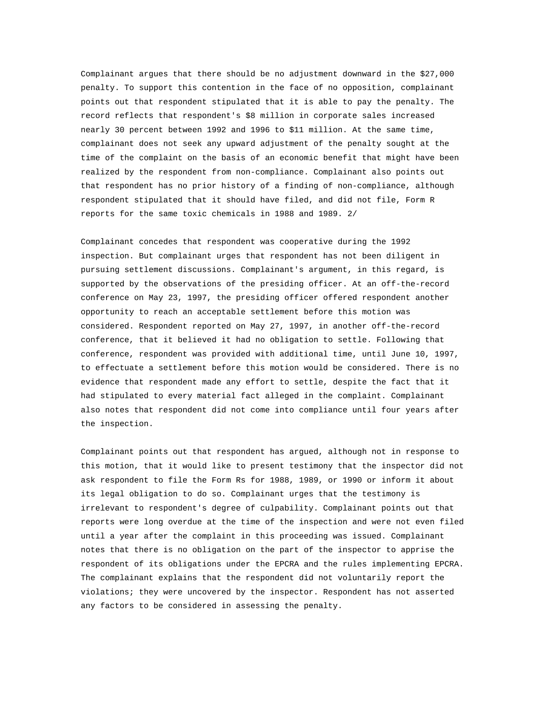Complainant argues that there should be no adjustment downward in the \$27,000 penalty. To support this contention in the face of no opposition, complainant points out that respondent stipulated that it is able to pay the penalty. The record reflects that respondent's \$8 million in corporate sales increased nearly 30 percent between 1992 and 1996 to \$11 million. At the same time, complainant does not seek any upward adjustment of the penalty sought at the time of the complaint on the basis of an economic benefit that might have been realized by the respondent from non-compliance. Complainant also points out that respondent has no prior history of a finding of non-compliance, although respondent stipulated that it should have filed, and did not file, Form R reports for the same toxic chemicals in 1988 and 1989. 2/

Complainant concedes that respondent was cooperative during the 1992 inspection. But complainant urges that respondent has not been diligent in pursuing settlement discussions. Complainant's argument, in this regard, is supported by the observations of the presiding officer. At an off-the-record conference on May 23, 1997, the presiding officer offered respondent another opportunity to reach an acceptable settlement before this motion was considered. Respondent reported on May 27, 1997, in another off-the-record conference, that it believed it had no obligation to settle. Following that conference, respondent was provided with additional time, until June 10, 1997, to effectuate a settlement before this motion would be considered. There is no evidence that respondent made any effort to settle, despite the fact that it had stipulated to every material fact alleged in the complaint. Complainant also notes that respondent did not come into compliance until four years after the inspection.

Complainant points out that respondent has argued, although not in response to this motion, that it would like to present testimony that the inspector did not ask respondent to file the Form Rs for 1988, 1989, or 1990 or inform it about its legal obligation to do so. Complainant urges that the testimony is irrelevant to respondent's degree of culpability. Complainant points out that reports were long overdue at the time of the inspection and were not even filed until a year after the complaint in this proceeding was issued. Complainant notes that there is no obligation on the part of the inspector to apprise the respondent of its obligations under the EPCRA and the rules implementing EPCRA. The complainant explains that the respondent did not voluntarily report the violations; they were uncovered by the inspector. Respondent has not asserted any factors to be considered in assessing the penalty.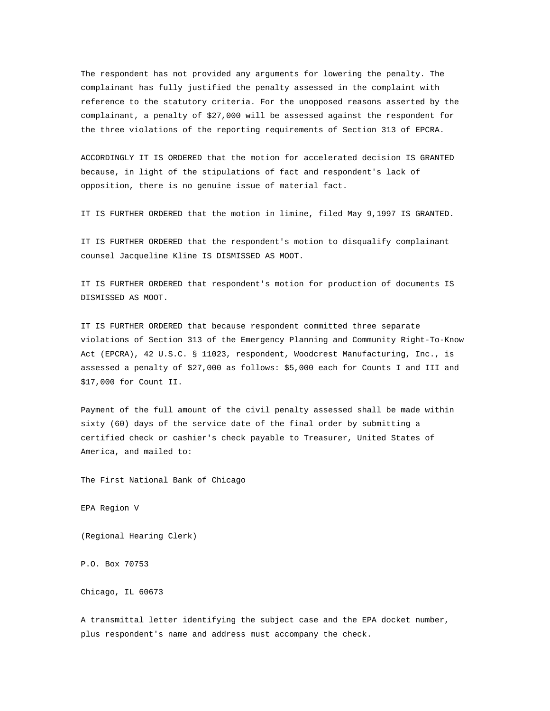The respondent has not provided any arguments for lowering the penalty. The complainant has fully justified the penalty assessed in the complaint with reference to the statutory criteria. For the unopposed reasons asserted by the complainant, a penalty of \$27,000 will be assessed against the respondent for the three violations of the reporting requirements of Section 313 of EPCRA.

ACCORDINGLY IT IS ORDERED that the motion for accelerated decision IS GRANTED because, in light of the stipulations of fact and respondent's lack of opposition, there is no genuine issue of material fact.

IT IS FURTHER ORDERED that the motion in limine, filed May 9,1997 IS GRANTED.

IT IS FURTHER ORDERED that the respondent's motion to disqualify complainant counsel Jacqueline Kline IS DISMISSED AS MOOT.

IT IS FURTHER ORDERED that respondent's motion for production of documents IS DISMISSED AS MOOT.

IT IS FURTHER ORDERED that because respondent committed three separate violations of Section 313 of the Emergency Planning and Community Right-To-Know Act (EPCRA), 42 U.S.C. § 11023, respondent, Woodcrest Manufacturing, Inc., is assessed a penalty of \$27,000 as follows: \$5,000 each for Counts I and III and \$17,000 for Count II.

Payment of the full amount of the civil penalty assessed shall be made within sixty (60) days of the service date of the final order by submitting a certified check or cashier's check payable to Treasurer, United States of America, and mailed to:

The First National Bank of Chicago

EPA Region V

(Regional Hearing Clerk)

P.O. Box 70753

Chicago, IL 60673

A transmittal letter identifying the subject case and the EPA docket number, plus respondent's name and address must accompany the check.